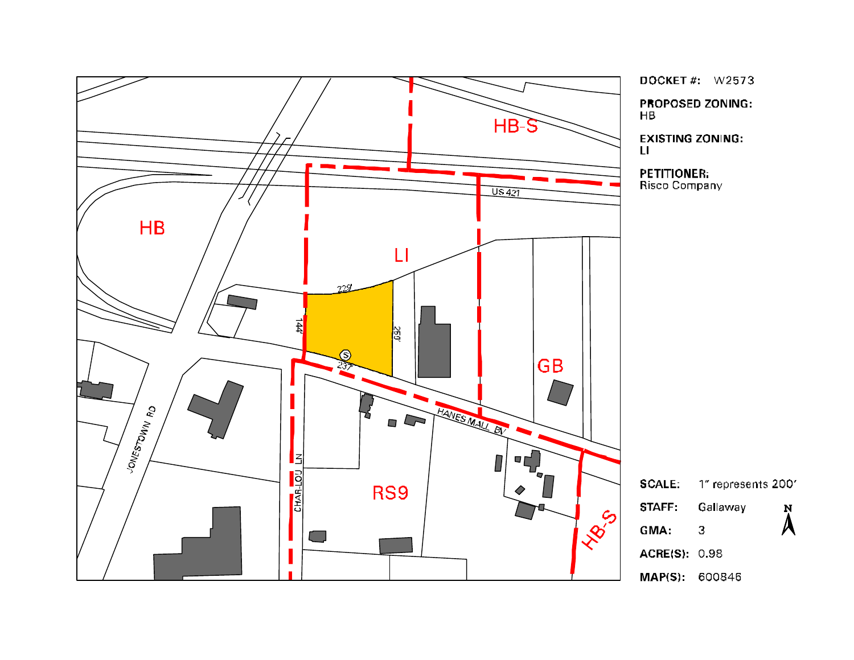

**DOCKET#:** W2573 **PROPOSED ZONING:** 

**EXISTING ZONING:** 

**PETITIONER:** Risco Company

1" represents 200' Gallaway  $\mathbf N$  $\lambda$  $\overline{\mathbf{3}}$ ACRE(S): 0.98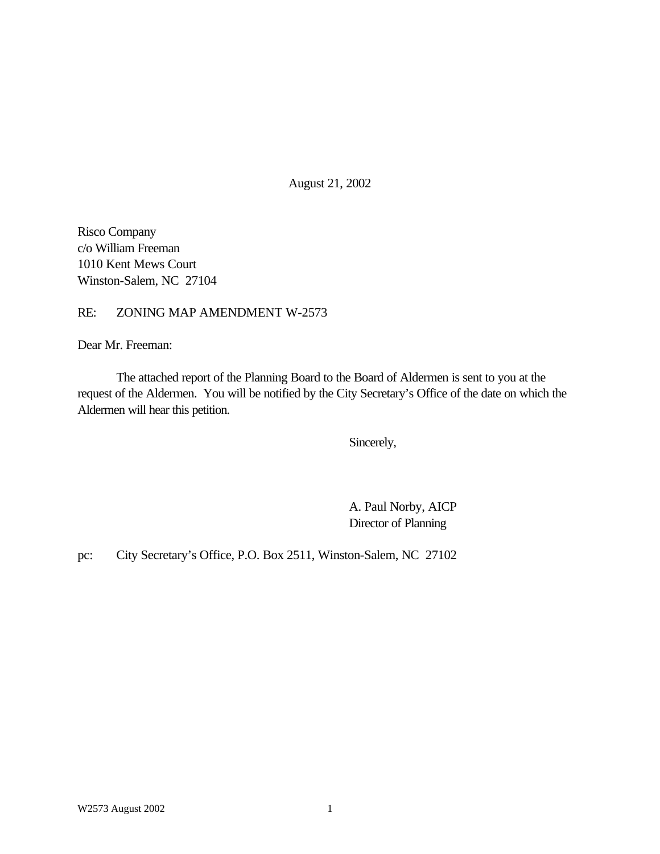August 21, 2002

Risco Company c/o William Freeman 1010 Kent Mews Court Winston-Salem, NC 27104

## RE: ZONING MAP AMENDMENT W-2573

Dear Mr. Freeman:

The attached report of the Planning Board to the Board of Aldermen is sent to you at the request of the Aldermen. You will be notified by the City Secretary's Office of the date on which the Aldermen will hear this petition.

Sincerely,

A. Paul Norby, AICP Director of Planning

pc: City Secretary's Office, P.O. Box 2511, Winston-Salem, NC 27102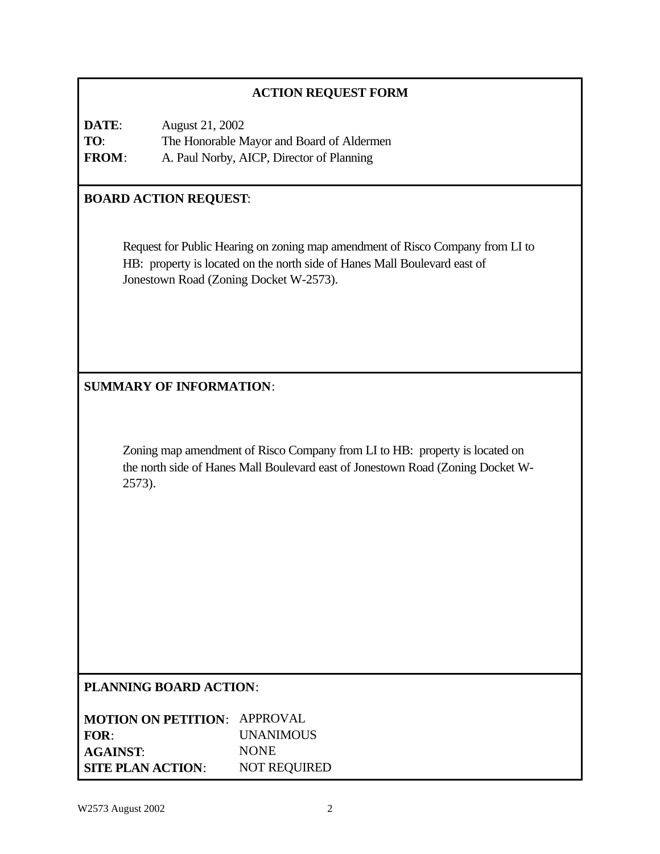| <b>ACTION REQUEST FORM</b>                                                                                                                                               |                                                                                                                                                                                                       |  |  |
|--------------------------------------------------------------------------------------------------------------------------------------------------------------------------|-------------------------------------------------------------------------------------------------------------------------------------------------------------------------------------------------------|--|--|
| DATE:<br>TO:<br>FROM:                                                                                                                                                    | August 21, 2002<br>The Honorable Mayor and Board of Aldermen<br>A. Paul Norby, AICP, Director of Planning                                                                                             |  |  |
| <b>BOARD ACTION REQUEST:</b>                                                                                                                                             |                                                                                                                                                                                                       |  |  |
|                                                                                                                                                                          | Request for Public Hearing on zoning map amendment of Risco Company from LI to<br>HB: property is located on the north side of Hanes Mall Boulevard east of<br>Jonestown Road (Zoning Docket W-2573). |  |  |
|                                                                                                                                                                          |                                                                                                                                                                                                       |  |  |
|                                                                                                                                                                          | <b>SUMMARY OF INFORMATION:</b>                                                                                                                                                                        |  |  |
| Zoning map amendment of Risco Company from LI to HB: property is located on<br>the north side of Hanes Mall Boulevard east of Jonestown Road (Zoning Docket W-<br>2573). |                                                                                                                                                                                                       |  |  |
| <b>PLANNING BOARD ACTION:</b>                                                                                                                                            |                                                                                                                                                                                                       |  |  |
| FOR:<br><b>AGAINST:</b><br><b>SITE PLAN ACTION:</b>                                                                                                                      | <b>MOTION ON PETITION: APPROVAL</b><br><b>UNANIMOUS</b><br><b>NONE</b><br>NOT REQUIRED                                                                                                                |  |  |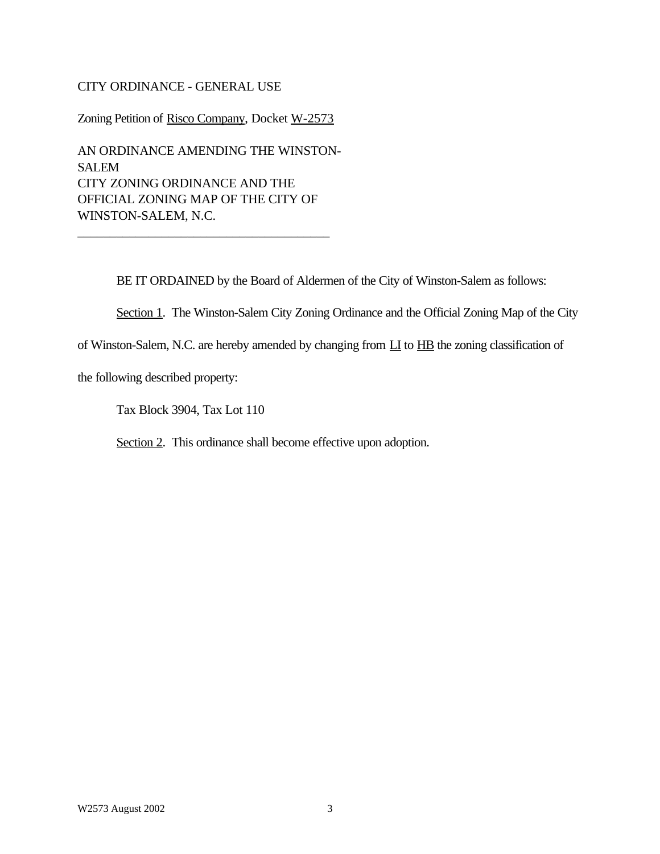### CITY ORDINANCE - GENERAL USE

Zoning Petition of Risco Company, Docket W-2573

AN ORDINANCE AMENDING THE WINSTON-SALEM CITY ZONING ORDINANCE AND THE OFFICIAL ZONING MAP OF THE CITY OF WINSTON-SALEM, N.C.

\_\_\_\_\_\_\_\_\_\_\_\_\_\_\_\_\_\_\_\_\_\_\_\_\_\_\_\_\_\_\_\_\_\_\_\_\_\_\_

BE IT ORDAINED by the Board of Aldermen of the City of Winston-Salem as follows:

Section 1. The Winston-Salem City Zoning Ordinance and the Official Zoning Map of the City

of Winston-Salem, N.C. are hereby amended by changing from LI to HB the zoning classification of

the following described property:

Tax Block 3904, Tax Lot 110

Section 2. This ordinance shall become effective upon adoption.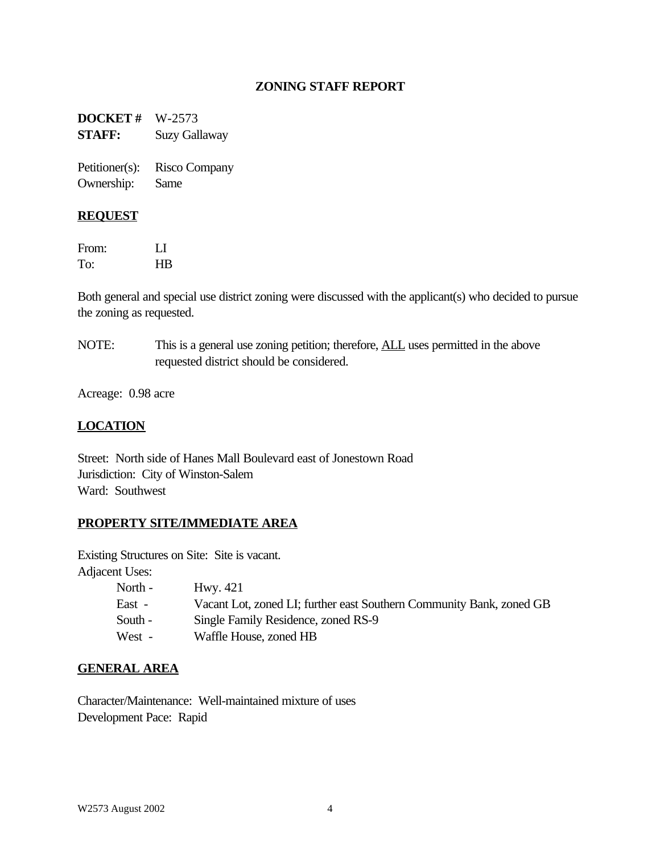## **ZONING STAFF REPORT**

**DOCKET #** W-2573 **STAFF:** Suzy Gallaway

Petitioner(s): Risco Company Ownership: Same

#### **REQUEST**

From: LI To: HB

Both general and special use district zoning were discussed with the applicant(s) who decided to pursue the zoning as requested.

NOTE: This is a general use zoning petition; therefore, **ALL** uses permitted in the above requested district should be considered.

Acreage: 0.98 acre

### **LOCATION**

Street: North side of Hanes Mall Boulevard east of Jonestown Road Jurisdiction: City of Winston-Salem Ward: Southwest

### **PROPERTY SITE/IMMEDIATE AREA**

Existing Structures on Site: Site is vacant.

Adjacent Uses:

| North - | Hwy. 421                                                             |
|---------|----------------------------------------------------------------------|
| East -  | Vacant Lot, zoned LI; further east Southern Community Bank, zoned GB |
| South - | Single Family Residence, zoned RS-9                                  |
| West -  | Waffle House, zoned HB                                               |

#### **GENERAL AREA**

Character/Maintenance: Well-maintained mixture of uses Development Pace: Rapid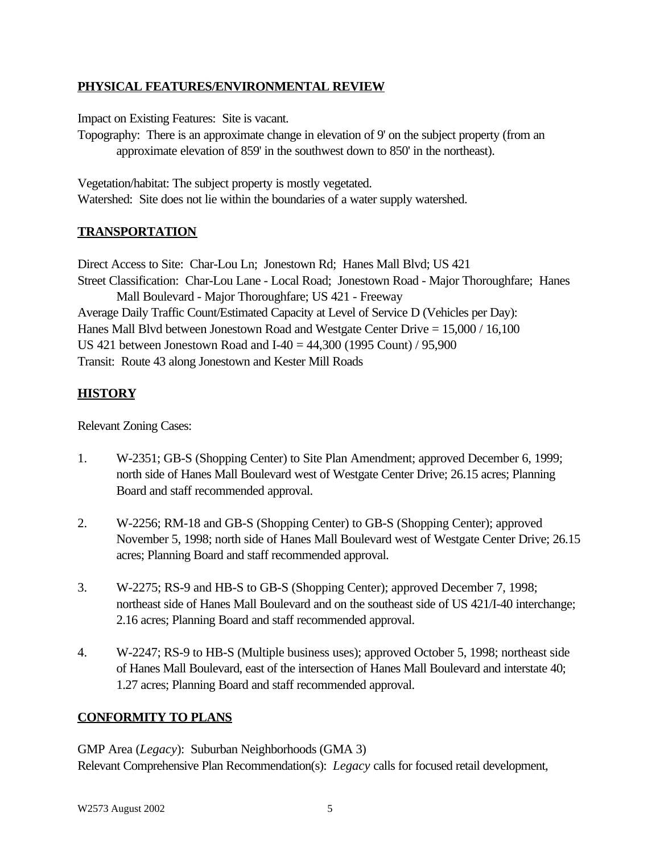# **PHYSICAL FEATURES/ENVIRONMENTAL REVIEW**

Impact on Existing Features: Site is vacant.

Topography: There is an approximate change in elevation of 9' on the subject property (from an approximate elevation of 859' in the southwest down to 850' in the northeast).

Vegetation/habitat: The subject property is mostly vegetated. Watershed: Site does not lie within the boundaries of a water supply watershed.

# **TRANSPORTATION**

Direct Access to Site: Char-Lou Ln; Jonestown Rd; Hanes Mall Blvd; US 421 Street Classification: Char-Lou Lane - Local Road; Jonestown Road - Major Thoroughfare; Hanes Mall Boulevard - Major Thoroughfare; US 421 - Freeway Average Daily Traffic Count/Estimated Capacity at Level of Service D (Vehicles per Day):

Hanes Mall Blvd between Jonestown Road and Westgate Center Drive = 15,000 / 16,100

US 421 between Jonestown Road and I-40 = 44,300 (1995 Count) / 95,900

Transit: Route 43 along Jonestown and Kester Mill Roads

# **HISTORY**

Relevant Zoning Cases:

- 1. W-2351; GB-S (Shopping Center) to Site Plan Amendment; approved December 6, 1999; north side of Hanes Mall Boulevard west of Westgate Center Drive; 26.15 acres; Planning Board and staff recommended approval.
- 2. W-2256; RM-18 and GB-S (Shopping Center) to GB-S (Shopping Center); approved November 5, 1998; north side of Hanes Mall Boulevard west of Westgate Center Drive; 26.15 acres; Planning Board and staff recommended approval.
- 3. W-2275; RS-9 and HB-S to GB-S (Shopping Center); approved December 7, 1998; northeast side of Hanes Mall Boulevard and on the southeast side of US 421/I-40 interchange; 2.16 acres; Planning Board and staff recommended approval.
- 4. W-2247; RS-9 to HB-S (Multiple business uses); approved October 5, 1998; northeast side of Hanes Mall Boulevard, east of the intersection of Hanes Mall Boulevard and interstate 40; 1.27 acres; Planning Board and staff recommended approval.

# **CONFORMITY TO PLANS**

GMP Area (*Legacy*): Suburban Neighborhoods (GMA 3) Relevant Comprehensive Plan Recommendation(s): *Legacy* calls for focused retail development,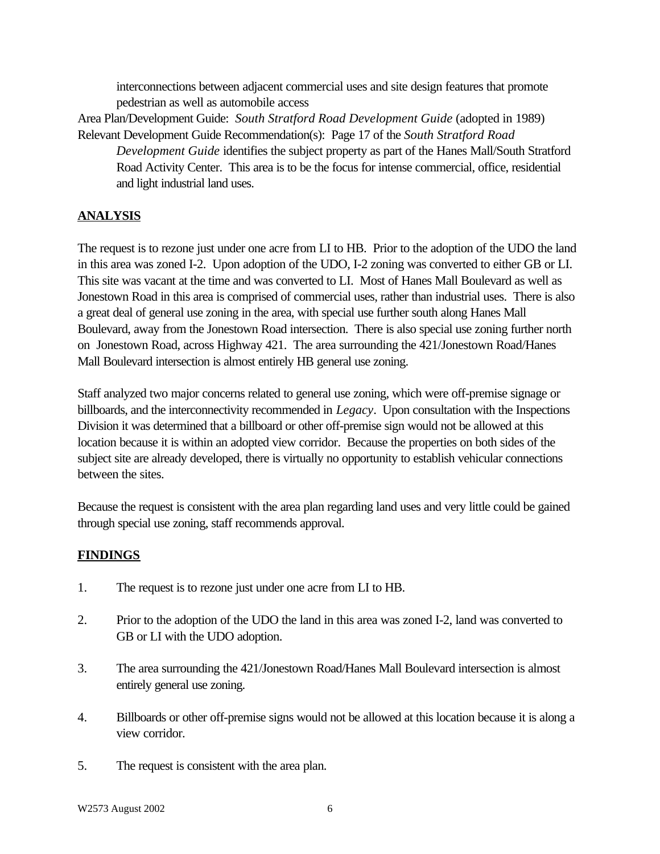interconnections between adjacent commercial uses and site design features that promote pedestrian as well as automobile access

Area Plan/Development Guide: *South Stratford Road Development Guide* (adopted in 1989) Relevant Development Guide Recommendation(s): Page 17 of the *South Stratford Road*

*Development Guide* identifies the subject property as part of the Hanes Mall/South Stratford Road Activity Center. This area is to be the focus for intense commercial, office, residential and light industrial land uses.

# **ANALYSIS**

The request is to rezone just under one acre from LI to HB. Prior to the adoption of the UDO the land in this area was zoned I-2. Upon adoption of the UDO, I-2 zoning was converted to either GB or LI. This site was vacant at the time and was converted to LI. Most of Hanes Mall Boulevard as well as Jonestown Road in this area is comprised of commercial uses, rather than industrial uses. There is also a great deal of general use zoning in the area, with special use further south along Hanes Mall Boulevard, away from the Jonestown Road intersection. There is also special use zoning further north on Jonestown Road, across Highway 421. The area surrounding the 421/Jonestown Road/Hanes Mall Boulevard intersection is almost entirely HB general use zoning.

Staff analyzed two major concerns related to general use zoning, which were off-premise signage or billboards, and the interconnectivity recommended in *Legacy*. Upon consultation with the Inspections Division it was determined that a billboard or other off-premise sign would not be allowed at this location because it is within an adopted view corridor. Because the properties on both sides of the subject site are already developed, there is virtually no opportunity to establish vehicular connections between the sites.

Because the request is consistent with the area plan regarding land uses and very little could be gained through special use zoning, staff recommends approval.

# **FINDINGS**

- 1. The request is to rezone just under one acre from LI to HB.
- 2. Prior to the adoption of the UDO the land in this area was zoned I-2, land was converted to GB or LI with the UDO adoption.
- 3. The area surrounding the 421/Jonestown Road/Hanes Mall Boulevard intersection is almost entirely general use zoning.
- 4. Billboards or other off-premise signs would not be allowed at this location because it is along a view corridor.
- 5. The request is consistent with the area plan.